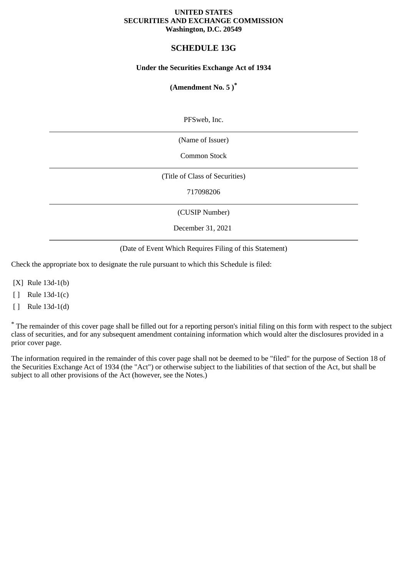### **UNITED STATES SECURITIES AND EXCHANGE COMMISSION Washington, D.C. 20549**

# **SCHEDULE 13G**

# **Under the Securities Exchange Act of 1934**

# **(Amendment No. 5 )\***

PFSweb, Inc.

(Name of Issuer)

Common Stock

(Title of Class of Securities)

717098206

(CUSIP Number)

December 31, 2021

(Date of Event Which Requires Filing of this Statement)

Check the appropriate box to designate the rule pursuant to which this Schedule is filed:

[X] Rule 13d-1(b)

[ ] Rule 13d-1(c)

[ ] Rule 13d-1(d)

\* The remainder of this cover page shall be filled out for a reporting person's initial filing on this form with respect to the subject class of securities, and for any subsequent amendment containing information which would alter the disclosures provided in a prior cover page.

The information required in the remainder of this cover page shall not be deemed to be "filed" for the purpose of Section 18 of the Securities Exchange Act of 1934 (the "Act") or otherwise subject to the liabilities of that section of the Act, but shall be subject to all other provisions of the Act (however, see the Notes.)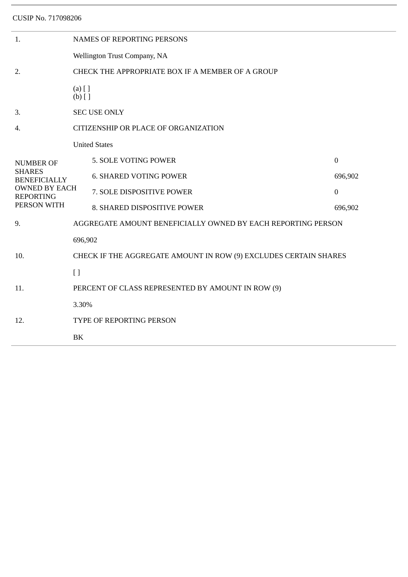CUSIP No. 717098206

| 1.                                                                                                                  | <b>NAMES OF REPORTING PERSONS</b>                                |                               |                  |  |
|---------------------------------------------------------------------------------------------------------------------|------------------------------------------------------------------|-------------------------------|------------------|--|
|                                                                                                                     | Wellington Trust Company, NA                                     |                               |                  |  |
| 2.                                                                                                                  | CHECK THE APPROPRIATE BOX IF A MEMBER OF A GROUP                 |                               |                  |  |
|                                                                                                                     | $(a)$ [ ]<br>$(b)$ []                                            |                               |                  |  |
| 3.                                                                                                                  | <b>SEC USE ONLY</b>                                              |                               |                  |  |
| 4.                                                                                                                  | CITIZENSHIP OR PLACE OF ORGANIZATION                             |                               |                  |  |
| <b>NUMBER OF</b><br><b>SHARES</b><br><b>BENEFICIALLY</b><br><b>OWNED BY EACH</b><br><b>REPORTING</b><br>PERSON WITH | <b>United States</b>                                             |                               |                  |  |
|                                                                                                                     |                                                                  | 5. SOLE VOTING POWER          | $\boldsymbol{0}$ |  |
|                                                                                                                     |                                                                  | <b>6. SHARED VOTING POWER</b> | 696,902          |  |
|                                                                                                                     |                                                                  | 7. SOLE DISPOSITIVE POWER     | $\mathbf{0}$     |  |
|                                                                                                                     |                                                                  | 8. SHARED DISPOSITIVE POWER   | 696,902          |  |
| 9.                                                                                                                  | AGGREGATE AMOUNT BENEFICIALLY OWNED BY EACH REPORTING PERSON     |                               |                  |  |
| 10.                                                                                                                 | 696,902                                                          |                               |                  |  |
|                                                                                                                     | CHECK IF THE AGGREGATE AMOUNT IN ROW (9) EXCLUDES CERTAIN SHARES |                               |                  |  |
|                                                                                                                     | $[ \ ]$                                                          |                               |                  |  |
| 11.                                                                                                                 | PERCENT OF CLASS REPRESENTED BY AMOUNT IN ROW (9)                |                               |                  |  |
| 12.                                                                                                                 | 3.30%                                                            |                               |                  |  |
|                                                                                                                     | TYPE OF REPORTING PERSON                                         |                               |                  |  |
|                                                                                                                     | BK                                                               |                               |                  |  |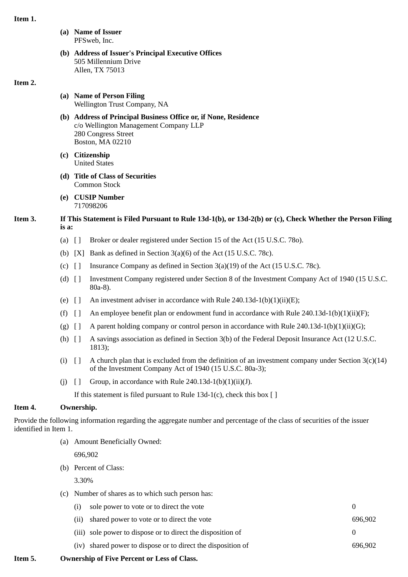## **Item 1.**

- **(a) Name of Issuer** PFSweb, Inc.
- **(b) Address of Issuer's Principal Executive Offices** 505 Millennium Drive Allen, TX 75013

### **Item 2.**

- **(a) Name of Person Filing** Wellington Trust Company, NA
- **(b) Address of Principal Business Office or, if None, Residence** c/o Wellington Management Company LLP 280 Congress Street Boston, MA 02210
- **(c) Citizenship** United States
- **(d) Title of Class of Securities** Common Stock
- **(e) CUSIP Number** 717098206
- **Item 3. If This Statement is Filed Pursuant to Rule 13d-1(b), or 13d-2(b) or (c), Check Whether the Person Filing is a:**
	- (a) [ ] Broker or dealer registered under Section 15 of the Act (15 U.S.C. 78o).
	- (b)  $[X]$  Bank as defined in Section 3(a)(6) of the Act (15 U.S.C. 78c).
	- (c)  $\left[ \ \right]$  Insurance Company as defined in Section 3(a)(19) of the Act (15 U.S.C. 78c).
	- (d) [ ] Investment Company registered under Section 8 of the Investment Company Act of 1940 (15 U.S.C. 80a-8).
	- (e)  $\lceil \cdot \rceil$  An investment adviser in accordance with Rule 240.13d-1(b)(1)(ii)(E);
	- (f)  $\left[ \ \right]$  An employee benefit plan or endowment fund in accordance with Rule 240.13d-1(b)(1)(ii)(F);
	- (g)  $\lceil \cdot \rceil$  A parent holding company or control person in accordance with Rule 240.13d-1(b)(1)(ii)(G);
	- (h) [ ] A savings association as defined in Section 3(b) of the Federal Deposit Insurance Act (12 U.S.C. 1813);
	- (i)  $\lceil \cdot \rceil$  A church plan that is excluded from the definition of an investment company under Section 3(c)(14) of the Investment Company Act of 1940 (15 U.S.C. 80a-3);
	- (j)  $\left[\right]$  Group, in accordance with Rule 240.13d-1(b)(1)(ii)(J).

If this statement is filed pursuant to Rule 13d-1(c), check this box  $[ ]$ 

# **Item 4. Ownership.**

Provide the following information regarding the aggregate number and percentage of the class of securities of the issuer identified in Item 1.

(a) Amount Beneficially Owned:

696,902

(b) Percent of Class:

3.30%

- (c) Number of shares as to which such person has:
	- (i) sole power to vote or to direct the vote 0 (ii) shared power to vote or to direct the vote 696,902
	- (iii) sole power to dispose or to direct the disposition of 0
	- (iv) shared power to dispose or to direct the disposition of 696,902
- **Item 5. Ownership of Five Percent or Less of Class.**